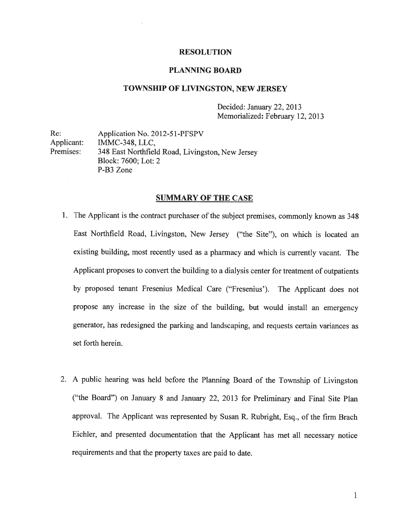#### RESOLUTION

#### PLANNING BOARD

#### TOWNSHIP OF LIVINGSTON, NEW JERSEY

Decided: January 22, 2013 Memorialized: February 12, 2013

Re: Application No. 2012-51-PFSPV Applicant: IMMC-348, LLC, Premises: <sup>348</sup> East Northfield Road, Livingston, New Jersey Block: 7600; Lot: 2 P-B3 Zone

#### SUMMARY OF THE CASE

- 1. The Applicant is the contract purchaser of the subject premises, commonly known as <sup>348</sup> East Northfield Road, Livingston, New Jersey ("the Site"), on which is located an existing building, most recently used as <sup>a</sup> <sup>p</sup>harmacy and which is currently vacant. The Applicant proposes to convert the building to <sup>a</sup> dialysis center for treatment of outpatients by propose<sup>d</sup> tenant Fresenius Medical Care ("Fresenius'). The Applicant does not propose any increase in the size of the building, but would install an emergency generator, has redesigned the parking and landscaping, and requests certain variances as set forth herein.
- 2. <sup>A</sup> public hearing was held before the Planning Board of the Township of Livingston ("the Board") on January <sup>8</sup> and January 22, <sup>2013</sup> for Preliminary and Final Site Plan approval. The Applicant was represented by Susan R. Rubright, Esq., of the firm Brach Eichler, and presented documentation that the Applicant has met all necessary notice requirements and that the property taxes are paid to date.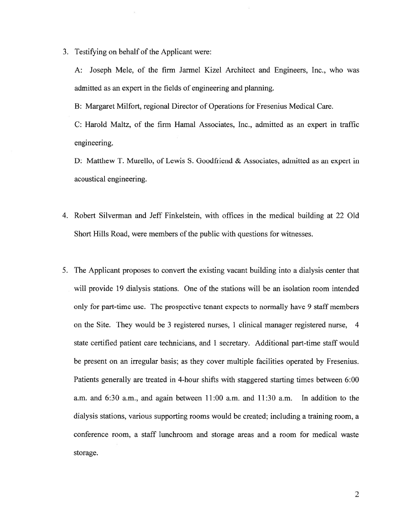3. Testifying on behalf of the Applicant were:

A: Joseph Mele, of the firm Jarmel Kizel Architect and Engineers, Inc., who was admitted as an exper<sup>t</sup> in the fields of engineering and planning.

B: Margaret Milfort, regional Director of Operations for Fresenius Medical Care.

C: Harold Maltz, of the firm Hamal Associates, Inc., admitted as an exper<sup>t</sup> in traffic engineering.

D: Matthew T. Murello, of Lewis S. Goodfriend & Associates, admitted as an exper<sup>t</sup> in acoustical engineering.

- 4. Robert Silverman and Jeff Finkelstein, with offices in the medical building at 22 Old Short Hills Road, were members of the public with questions for witnesses.
- 5. The Applicant proposes to convert the existing vacant building into <sup>a</sup> dialysis center that will provide 19 dialysis stations. One of the stations will be an isolation room intended only for part-time use. The prospective tenant expects to normally have 9 staff members on the Site. They would be 3 registered nurses, 1 clinical manager registered nurse, 4 state certified patient care technicians, and 1 secretary. Additional part-time staff would be presen<sup>t</sup> on an irregular basis; as they cover multiple facilities operated by Fresenius. Patients generally are treated in 4-hour shifts with staggered starting times between 6:00 a.m. and 6:30 a.m., and again between 11:00 a.m. and 11:30 a.m. In addition to the dialysis stations, various supporting rooms would be created; including <sup>a</sup> training room, <sup>a</sup> conference room, <sup>a</sup> staff lunchroom and storage areas and <sup>a</sup> room for medical waste storage.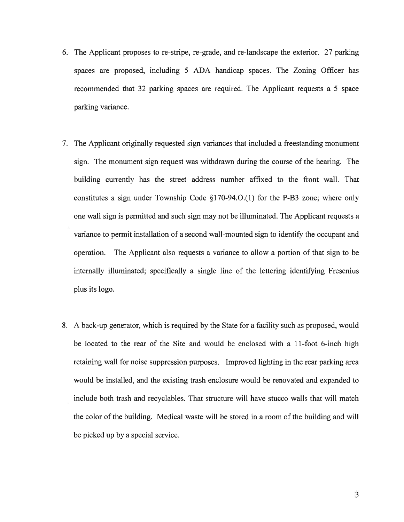- 6. The Applicant proposes to re-stripe, re-grade, and re-landscape the exterior. 27 parking spaces are proposed, including 5 ADA handicap spaces. The Zoning Officer has recommended that 32 parking spaces are required. The Applicant requests <sup>a</sup> 5 space parking variance.
- 7. The Applicant originally requested sign variances that included <sup>a</sup> freestanding monument sign. The monument sign reques<sup>t</sup> was withdrawn during the course of the hearing. The building currently has the street address number affixed to the front wall. That constitutes <sup>a</sup> sign under Township Code §170-94.O.(1) for the P-B3 zone; where only one wall sign is permitted and such sign may not be illuminated. The Applicant requests <sup>a</sup> variance to permit installation of <sup>a</sup> second wall-mounted sign to identify the occupan<sup>t</sup> and operation. The Applicant also requests <sup>a</sup> variance to allow <sup>a</sup> portion of that sign to be internally illuminated; specifically <sup>a</sup> single line of the lettering identifying Fresenius plus its logo.
- 8. A back-up generator, which is required by the State for <sup>a</sup> facility such as proposed, would be located to the rear of the Site and would be enclosed with <sup>a</sup> 11-foot 6-inch high retaining wall for noise suppression purposes. Improved lighting in the rear parking area would be installed, and the existing trash enclosure would be renovated and expanded to include both trash and recyclables. That structure will have stucco walls that will match the color of the building. Medical waste will be stored in <sup>a</sup> room of the building and will be picked up by <sup>a</sup> special service.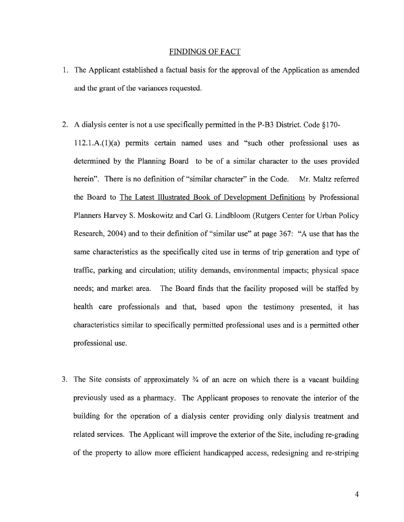#### FINDINGS OF FACT

- 1. The Applicant established <sup>a</sup> factual basis for the approval of the Application as amended and the grant of the variances requested.
- 2. <sup>A</sup> dialysis center is not <sup>a</sup> use specifically permitted in the P-B3 District. Code § 170 l12.1.A.(l)(a) permits certain named uses and "such other professional uses as determined by the Planning Board to be of <sup>a</sup> similar character to the uses provided herein". There is no definition of "similar character" in the Code. Mr. Maltz referred the Board to The Latest Illustrated Book of Development Definitions by Professional Planners Harvey S. Moskowitz and Carl G. Lindbloom (Rutgers Center for Urban Policy Research, 2004) and to their definition of "similar use" at page 367: "A use that has the same characteristics as the specifically cited use in terms of trip generation and type of traffic, parking and circulation; utility demands, environmental impacts; physical space needs; and market area. The Board finds that the facility proposed will be staffed by health care professionals and that, based upon the testimony presented, it has characteristics similar to specifically permitted professional uses and is <sup>a</sup> permitted other professional use.
- 3. The Site consists of approximately  $\frac{3}{4}$  of an acre on which there is a vacant building previously used as <sup>a</sup> pharmacy. The Applicant proposes to renovate the interior of the building for the operation of <sup>a</sup> dialysis center providing only dialysis treatment and related services. The Applicant will improve the exterior of the Site, including re-grading of the property to allow more efficient handicapped access, redesigning and re-striping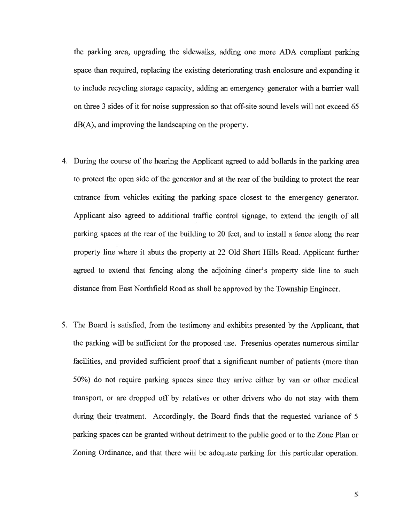the parking area, upgrading the sidewalks, adding one more ADA compliant parking space than required, replacing the existing deteriorating trash enclosure and expanding it to include recycling storage capacity, adding an emergency generator with <sup>a</sup> barrier wall on three 3 sides of it for noise suppression so that off-site sound levels will not exceed 65 dB(A), and improving the landscaping on the property.

- 4. During the course of the hearing the Applicant agreed to add bollards in the parking area to protect the open side of the generator and at the rear of the building to protect the rear entrance from vehicles exiting the parking space closest to the emergency generator. Applicant also agreed to additional traffic control signage, to extend the length of all parking spaces at the rear of the building to 20 feet, and to install <sup>a</sup> fence along the rear property line where it abuts the property at 22 Old Short Hills Road. Applicant further agreed to extend that fencing along the adjoining diner's property side line to such distance from East Northfield Road as shall be approved by the Township Engineer.
- 5. The Board is satisfied, from the testimony and exhibits presented by the Applicant, that the parking will be sufficient for the proposed use. Fresenius operates numerous similar facilities, and provided sufficient proof that <sup>a</sup> significant number of patients (more than 50%) do not require parking spaces since they arrive either by van or other medical transport, or are dropped off by relatives or other drivers who do not stay with them during their treatment. Accordingly, the Board finds that the requested variance of 5 parking spaces can be granted without detriment to the public good or to the Zone Plan or Zoning Ordinance, and that there will be adequate parking for this particular operation.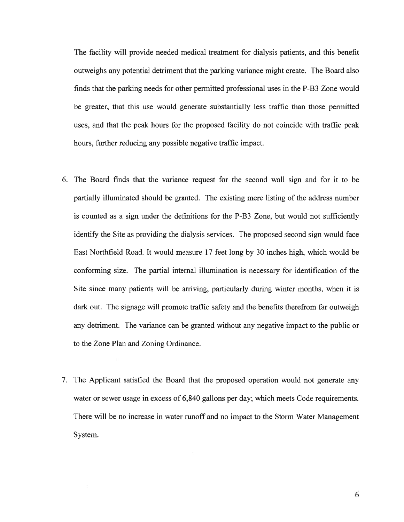The facility will provide needed medical treatment for dialysis patients, and this benefit outweighs any potential detriment that the parking variance might create. The Board also finds that the parking needs for other permitted professional uses in the P-B3 Zone would be greater, that this use would generate substantially less traffic than those permitted uses, and that the peak hours for the proposed facility do not coincide with traffic peak hours, further reducing any possible negative traffic impact.

- 6. The Board finds that the variance reques<sup>t</sup> for the second wall sign and for it to be partially illuminated should be granted. The existing mere listing of the address number is counted as <sup>a</sup> sign under the definitions for the P-B3 Zone, but would not sufficiently identify the Site as providing the dialysis services. The proposed second sign would face East Northfield Road. It would measure 17 feet long by 30 inches high, which would be conforming size. The partial internal illumination is necessary for identification of the Site since many patients will be arriving, particularly during winter months, when it is dark out. The signage will promote traffic safety and the benefits therefrom far outweigh any detriment. The variance can be granted without any negative impact to the public or to the Zone Plan and Zoning Ordinance.
- 7. The Applicant satisfied the Board that the proposed operation would not generate any water or sewer usage in excess of 6,840 gallons per day; which meets Code requirements. There will be no increase in water runoff and no impact to the Storm Water Management System.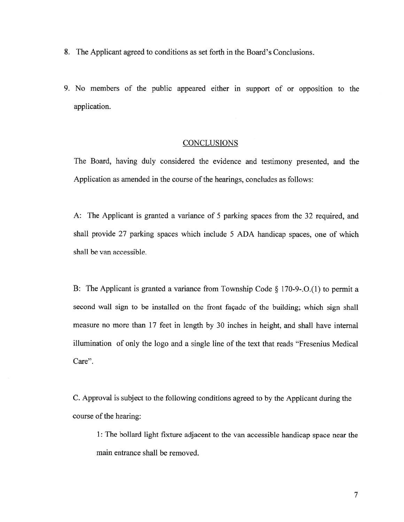- 8. The Applicant agreed to conditions as set forth in the Board's Conclusions.
- 9. No members of the public appeared either in suppor<sup>t</sup> of or opposition to the application.

#### **CONCLUSIONS**

The Board, having duly considered the evidence and testimony presented, and the Application as amended in the course of the hearings, concludes as follows:

A: The Applicant is granted <sup>a</sup> variance of <sup>5</sup> parking spaces from the 32 required, and shall provide 27 parking spaces which include <sup>5</sup> ADA handicap spaces, one of which shall be van accessible.

B: The Applicant is granted <sup>a</sup> variance from Township Code § 170-9-.O.(1) to permit <sup>a</sup> second wall sign to be installed on the front façade of the building; which sign shall measure no more than 17 feet in length by 30 inches in height, and shall have internal illumination of only the logo and <sup>a</sup> single line of the text that reads "Fresenius Medical Care".

C. Approval is subject to the following conditions agreed to by the Applicant during the course of the hearing:

1: The bollard light fixture adjacent to the van accessible handicap space near the main entrance shall be removed.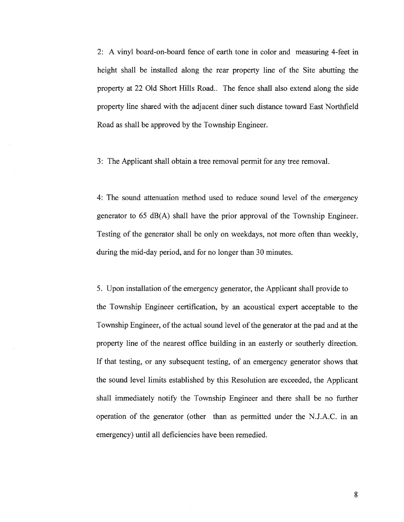2: A vinyl board-on-board fence of earth tone in color and measuring 4-feet in height shall be installed along the rear property line of the Site abutting the property at 22 Old Short Hills Road.. The fence shall also extend along the side property line shared with the adjacent diner such distance toward East Northfield Road as shall be approved by the Township Engineer.

3: The Applicant shall obtain <sup>a</sup> tree removal permit for any tree removal.

4: The sound attenuation method used to reduce sound level of the emergency generator to 65 dB(A) shall have the prior approval of the Township Engineer. Testing of the generator shall be only on weekdays, not more often than weekly, during the mid-day period, and for no longer than 30 minutes.

5. Upon installation of the emergency generator, the Applicant shall provide to the Township Engineer certification, by an acoustical exper<sup>t</sup> acceptable to the Township Engineer, of the actual sound level ofthe generator at the pad and at the property line of the nearest office building in an easterly or southerly direction. If that testing, or any subsequent testing, of an emergency generator shows that the sound level limits established by this Resolution are exceeded, the Applicant shall immediately notify the Township Engineer and there shall be no further operation of the generator (other than as permitted under the N.J.A.C. in an emergency) until all deficiencies have been remedied.

8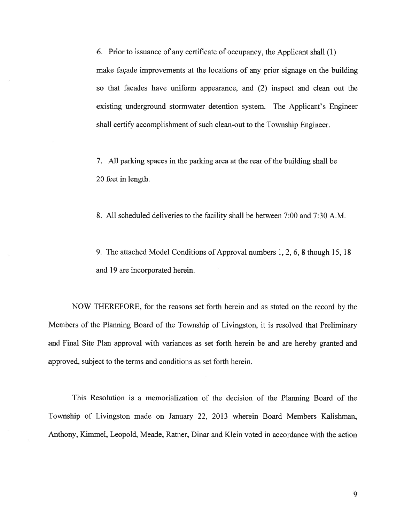6. Prior to issuance of any certificate of occupancy, the Applicant shall (1) make façade improvements at the locations of any prior signage on the building so that facades have uniform appearance, and (2) inspect and clean out the existing underground stormwater detention system. The Applicant's Engineer shall certify accomplishment of such clean-out to the Township Engineer.

7. All parking spaces in the parking area at the rear of the building shall be 20 feet in length.

8. All scheduled deliveries to the facility shall be between 7:00 and 7:30 A.M.

9. The attached Model Conditions of Approval numbers 1, 2, 6. 8 though 15, 18 and 19 are incorporated herein.

NOW THEREFORE, for the reasons set forth herein and as stated on the record by the Members of the Planning Board of the Township of Livingston, it is resolved that Preliminary and Final Site Plan approval with variances as set forth herein be and are hereby granted and approved, subject to the terms and conditions as set forth herein.

This Resolution is <sup>a</sup> memorialization of the decision of the Planning Board of the Township of Livingston made on January 22, 2013 wherein Board Members Kalishman, Anthony, Kimmel, Leopold, Meade, Ratner, Dinar and Klein voted in accordance with the action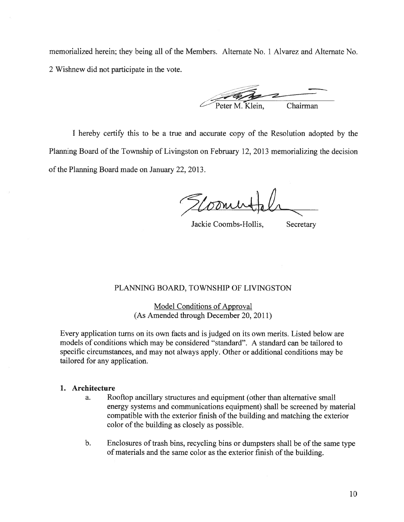memorialized herein; they being all of the Members. Alternate No. 1 Alvarez and Alternate No. 2 Wishnew did not participate in the vote.

Chairman

I hereby certify this to be <sup>a</sup> true and accurate copy of the Resolution adopted by the Planning Board of the Township of Livingston on February 12, 2013 memorializing the decision of the Planning Board made on January 22, 2013.

Jackie Coombs-Hollis, Secretary

## PLANNING BOARD, TOWNSHIP OF LIVINGSTON

Model Conditions of Approval (As Amended through December 20, 2011)

Every application turns on its own facts and is judged on its own merits. Listed below are models of conditions which may be considered "standard". A standard can be tailored to specific circumstances, and may not always apply. Other or additional conditions may be tailored for any application.

#### 1. Architecture

- a. Rooftop ancillary structures and equipment (other than alternative small energy systems and communications equipment) shall be screened by material compatible with the exterior finish of the building and matching the exterior color of the building as closely as possible.
- b. Enclosures of trash bins, recycling bins or dumpsters shall be of the same type of materials and the same color as the exterior finish of the building.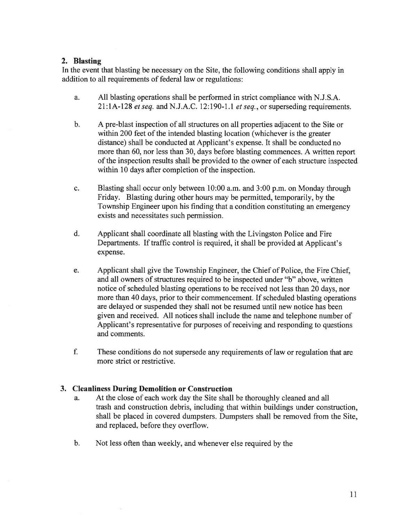#### 2. Blasting

In the event that blasting be necessary on the Site, the following conditions shall apply in addition to all requirements of federal law or regulations:

- a. All blasting operations shall be performed in strict compliance with N.J.S.A. 21 :1A-128 et seq. and N.J.A.C. 12:190-1.1 et seq., or superseding requirements.
- b. A pre-blast inspection of all structures on all properties adjacent to the Site or within 200 feet of the intended blasting location (whichever is the greater distance) shall be conducted at Applicant's expense. It shall be conducted no more than 60, nor less than 30, days before blasting commences. A written repor<sup>t</sup> of the inspection results shall be provided to the owner of each structure inspected within 10 days after completion of the inspection.
- c. Blasting shall occur only between 10:00 a.m. and 3:00 p.m. on Monday through Friday. Blasting during other hours may be permitted, temporarily, by the Township Engineer upon his finding that <sup>a</sup> condition constituting an emergency exists and necessitates such permission.
- d. Applicant shall coordinate all blasting with the Livingston Police and Fire Departments. If traffic control is required, it shall be provided at Applicant's expense.
- e. Applicant shall give the Township Engineer, the Chief of Police, the Fire Chief, and all owners of structures required to be inspected under "b" above, written notice of scheduled blasting operations to be received not less than 20 days, nor more than 40 days, prior to their commencement. If scheduled blasting operations are delayed or suspended they shall not be resumed until new notice has been <sup>g</sup>iven and received. All notices shall include the name and telephone number of Applicant's representative for purposes of receiving and responding to questions and comments.
- f. These conditions do not supersede any requirements of law or regulation that are more strict or restrictive.

### 3. Cleanliness During Demolition or Construction

- a. At the close of each work day the Site shall be thoroughly cleaned and all trash and construction debris, including that within buildings under construction, shall be placed in covered dumpsters. Dumpsters shall be removed from the Site, and replaced, before they overflow.
- b. Not less often than weekly, and whenever else required by the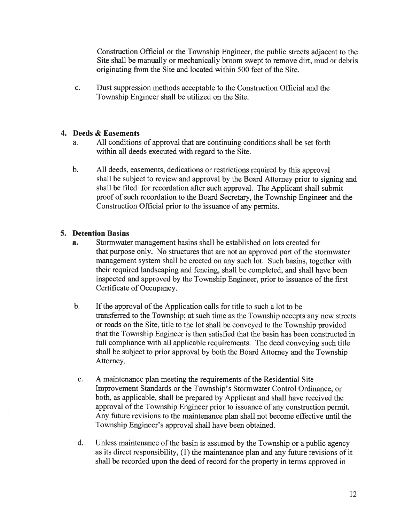Construction Official or the Township Engineer, the public streets adjacent to the Site shall be manually or mechanically broom swep<sup>t</sup> to remove dirt, mud or debris originating from the Site and located within 500 feet of the Site.

c. Dust suppression methods acceptable to the Construction Official and the Township Engineer shall be utilized on the Site.

## 4. Deeds & Easements

- a. All conditions of approval that are continuing conditions shall be set forth within all deeds executed with regard to the Site.
- b. All deeds, easements, dedications or restrictions required by this approval shall be subject to review and approval by the Board Attorney prior to signing and shall be filed for recordation after such approval. The Applicant shall submit proof of such recordation to the Board Secretary, the Township Engineer and the Construction Official prior to the issuance of any permits.

## 5. Detention Basins

- a. Stormwater managemen<sup>t</sup> basins shall be established on lots created for that purpose only. No structures that are not an approved part of the stormwater managemen<sup>t</sup> system shall be erected on any such lot. Such basins, together with their required landscaping and fencing, shall be completed, and shall have been inspected and approved by the Township Engineer, prior to issuance of the first Certificate of Occupancy.
- b. If the approval of the Application calls for title to such a lot to be transferred to the Township; at such time as the Township accepts any new streets or roads on the Site, title to the lot shall be conveyed to the Township provided that the Township Engineer is then satisfied that the basin has been constructed in full compliance with all applicable requirements. The deed conveying such title shall be subject to prior approval by both the Board Attorney and the Township Attorney.
- c. A maintenance plan meeting the requirements of the Residential Site Improvement Standards or the Township's Stormwater Control Ordinance, or both, as applicable, shall be prepared by Applicant and shall have received the approval of the Township Engineer prior to issuance of any construction permit. Any future revisions to the maintenance plan shall not become effective until the Township Engineer's approval shall have been obtained.
- d. Unless maintenance of the basin is assumed by the Township or <sup>a</sup> public agency as its direct responsibility, (1) the maintenance plan and any future revisions of it shall be recorded upon the deed of record for the property in terms approved in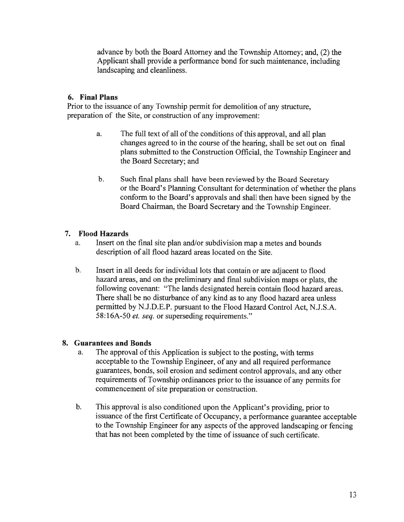advance by both the Board Attorney and the Township Attorney; and, (2) the Applicant shall provide <sup>a</sup> performance bond for such maintenance, including landscaping and cleanliness.

# 6. Final Plans

Prior to the issuance of any Township permit for demolition of any structure, preparation of the Site, or construction of any improvement:

- a. The full text of all of the conditions of this approval, and all plan changes agreed to in the course of the hearing, shall be set out on final plans submitted to the Construction Official, the Township Engineer and the Board Secretary; and
- b. Such final plans shall have been reviewed by the Board Secretary or the Board's Planning Consultant for determination of whether the plans conform to the Board's approvals and shall then have been signed by the Board Chairman, the Board Secretary and the Township Engineer.

# 7. Flood Hazards

- a. Insert on the final site plan and/or subdivision map <sup>a</sup> metes and bounds description of all flood hazard areas located on the Site.
- b. Insert in all deeds for individual lots that contain or are adjacent to flood hazard areas, and on the preliminary and final subdivision maps or <sup>p</sup>lats, the following covenant: "The lands designated herein contain flood hazard areas. There shall be no disturbance of any kind as to any flood hazard area unless permitted by N.J.D.E.P. pursuan<sup>t</sup> to the Flood Hazard Control Act, N.J.S.A. 58:16A-50 et. seq. or superseding requirements."

## 8. Guarantees and Bonds

- a. The approva<sup>l</sup> of this Application is subject to the posting, with terms acceptable to the Township Engineer, of any and all required performance guarantees, bonds, soil erosion and sediment control approvals, and any other requirements of Township ordinances prior to the issuance of any permits for commencement of site preparation or construction.
- b. This approva<sup>l</sup> is also conditioned upon the Applicant's providing, prior to issuance of the first Certificate of Occupancy, <sup>a</sup> performance guarantee acceptable to the Township Engineer for any aspects of the approved landscaping or fencing that has not been completed by the time of issuance of such certificate.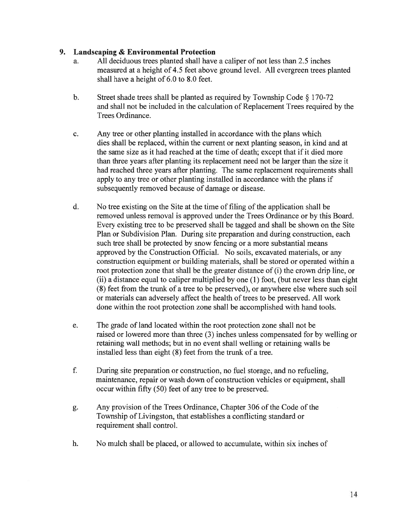## 9. Landscaping & Environmental Protection

- a. All deciduous trees planted shall have <sup>a</sup> caliper of not less than 2.5 inches measured at <sup>a</sup> height of 4.5 feet above ground level. All evergreen trees planted shall have <sup>a</sup> height of 6.0 to 8.0 feet.
- b. Street shade trees shall be <sup>p</sup>lanted as required by Township Code § 170-72 and shall not be included in the calculation of Replacement Trees required by the Trees Ordinance.
- c. Any tree or other planting installed in accordance with the plans which dies shall be replaced, within the current or next planting season, in kind and at the same size as it had reached at the time of death; excep<sup>t</sup> that if it died more than three years after planting its replacement need not be larger than the size it had reached three years after planting. The same replacement requirements shall apply to any tree or other planting installed in accordance with the plans if subsequently removed because of damage or disease.
- d. No tree existing on the Site at the time of filing of the application shall be removed unless removal is approved under the Trees Ordinance or by this Board. Every existing tree to be preserved shall be tagged and shall be shown on the Site Plan or Subdivision Plan. During site preparation and during construction, each such tree shall be protected by snow fencing or <sup>a</sup> more substantial means approved by the Construction Official. No soils, excavated materials, or any construction equipment or building materials, shall be stored or operated within <sup>a</sup> root protection zone that shall be the greater distance of (i) the crown drip line, or (ii) <sup>a</sup> distance equal to caliper multiplied by one (1) foot, (but never less than eight (8) feet from the trunk of <sup>a</sup> tree to be preserved), or anywhere else where such soil or materials can adversely affect the health of trees to be preserved. All work done within the root protection zone shall be accomplished with hand tools.
- e. The grade of land located within the root protection zone shall not be raised or lowered more than three (3) inches unless compensated for by welling or retaining wall methods; but in no event shall welling or retaining walls be installed less than eight (8) feet from the trunk of <sup>a</sup> tree.
- f. During site preparation or construction, no fuel storage, and no refueling, maintenance, repair or wash down of construction vehicles or equipment, shall occur within fifty (50) feet of any tree to be preserved.
- g. Any provision of the Trees Ordinance, Chapter 306 of the Code of the Township of Livingston, that establishes <sup>a</sup> conflicting standard or requirement shall control.
- h. No mulch shall be placed, or allowed to accumulate, within six inches of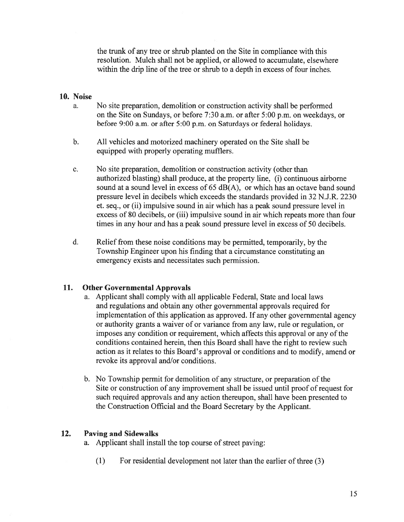the trunk of any tree or shrub planted on the Site in compliance with this resolution. Mulch shall not be applied, or allowed to accumulate, elsewhere within the drip line of the tree or shrub to <sup>a</sup> depth in excess of four inches.

### 10. Noise

- a. No site preparation, demolition or construction activity shall be performed on the Site on Sundays, or before 7:30 a.m. or after 5:00 p.m. on weekdays, or before 9:00 a.m. or after 5:00 p.m. on Saturdays or federal holidays.
- b. All vehicles and motorized machinery operated on the Site shall be equipped with properly operating mufflers.
- c. No site preparation, demolition or construction activity (other than authorized blasting) shall produce, at the property line, (i) continuous airborne sound at <sup>a</sup> sound level in excess of 65 dB(A), or which has an octave band sound pressure level in decibels which exceeds the standards provided in 32 N.J.R. 2230 et. seq., or (ii) impulsive sound in air which has <sup>a</sup> peak sound pressure level in excess of 80 decibels, or (iii) impulsive sound in air which repeats more than four times in any hour and has <sup>a</sup> peak sound pressure level in excess of 50 decibels.
- d. Relief from these noise conditions may be permitted, temporarily, by the Township Engineer upon his finding that <sup>a</sup> circumstance constituting an emergency exists and necessitates such permission.

## 11. Other Governmental Approvals

- a. Applicant shall comply with all applicable Federal, State and local laws and regulations and obtain any other governmental approvals required for implementation of this application as approved. If any other governmental agency or authority grants <sup>a</sup> waiver of or variance from any law, rule or regulation, or imposes any condition or requirement, which affects this approval or any of the conditions contained herein, then this Board shall have the right to review such action as it relates to this Board's approval or conditions and to modify, amend or revoke its approval and/or conditions.
- b. No Township permit for demolition of any structure, or preparation of the Site or construction of any improvement shall be issued until proof of reques<sup>t</sup> for such required approvals and any action thereupon, shall have been presented to the Construction Official and the Board Secretary by the Applicant.

### 12. Paving and Sidewalks

- a. Applicant shall install the top course of street paving:
	- (1) For residential development not later than the earlier of three (3)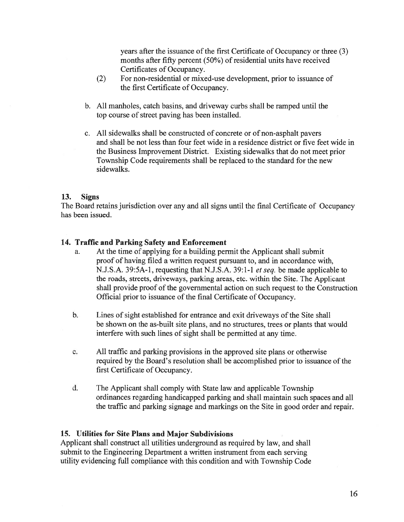years after the issuance of the first Certificate of Occupancy or three (3) months after fifty percent  $(50\%)$  of residential units have received Certificates of Occupancy.

- (2) For non-residential or mixed-use development, prior to issuance of the first Certificate of Occupancy.
- b. All manholes, catch basins, and driveway curbs shall be ramped until the top course of street paving has been installed.
- c. All sidewalks shall be constructed of concrete or of non-asphalt payers and shall be not less than four feet wide in <sup>a</sup> residence district or five feet wide in the Business Improvement District. Existing sidewalks that do not meet prior Township Code requirements shall be replaced to the standard for the new sidewalks.

### 13. Signs

The Board retains jurisdiction over any and all signs until the final Certificate of Occupancy has been issued.

## 14. Traffic and Parking Safety and Enforcement

- a. At the time of applying for <sup>a</sup> building permit the Applicant shall submit proof of having filed <sup>a</sup> written reques<sup>t</sup> pursuan<sup>t</sup> to, and in accordance with, N.J.S.A. 39:5A-1, requesting that N.J.S.A. 39:1-1 *et seq.* be made applicable to the roads, streets, driveways, parking areas, etc. within the Site. The Applicant shall provide proof of the governmental action on such reques<sup>t</sup> to the Construction Official prior to issuance of the final Certificate of Occupancy.
- b. Lines of sight established for entrance and exit driveways of the Site shall be shown on the as-built site plans, and no structures, trees or plants that would interfere with such lines of sight shall be permitted at any time.
- c. All traffic and parking provisions in the approved site plans or otherwise required by the Board's resolution shall be accomplished prior to issuance of the first Certificate of Occupancy.
- d. The Applicant shall comply with State law and applicable Township ordinances regarding handicapped parking and shall maintain such spaces and all the traffic and parking signage and markings on the Site in good order and repair.

### 15. Utilities for Site Plans and Major Subdivisions

Applicant shall construct all utilities underground as required by law, and shall submit to the Engineering Department <sup>a</sup> written instrument from each serving utility evidencing full compliance with this condition and with Township Code